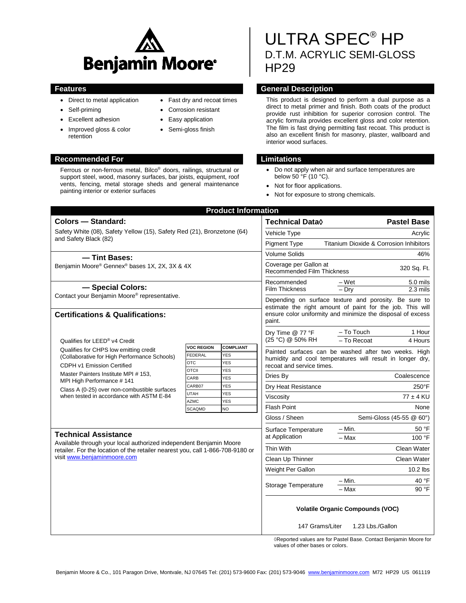

Ferrous or non-ferrous metal, Bilco® doors, railings, structural or support steel, wood, masonry surfaces, bar joists, equipment, roof vents, fencing, metal storage sheds and general maintenance

- Direct to metal application
- Self-priming
- Excellent adhesion
- Improved gloss & color retention

painting interior or exterior surfaces

# **Recommended For Limitations**

- Fast dry and recoat times
- Corrosion resistant
- Easy application
- Semi-gloss finish

# ULTRA SPEC® HP D.T.M. ACRYLIC SEMI-GLOSS HP29

# **Features General Description**

This product is designed to perform a dual purpose as a direct to metal primer and finish. Both coats of the product provide rust inhibition for superior corrosion control. The acrylic formula provides excellent gloss and color retention. The film is fast drying permitting fast recoat. This product is also an excellent finish for masonry, plaster, wallboard and interior wood surfaces.

- Do not apply when air and surface temperatures are below 50 °F (10 °C).
- Not for floor applications.
- Not for exposure to strong chemicals.

| <b>Product Information</b>                                                                                                                                                                                         |                                                                               |                                                             |                                                                                                                                                                                   |                                                      |
|--------------------------------------------------------------------------------------------------------------------------------------------------------------------------------------------------------------------|-------------------------------------------------------------------------------|-------------------------------------------------------------|-----------------------------------------------------------------------------------------------------------------------------------------------------------------------------------|------------------------------------------------------|
| <b>Colors - Standard:</b>                                                                                                                                                                                          |                                                                               |                                                             | Technical Data $\Diamond$                                                                                                                                                         | <b>Pastel Base</b>                                   |
| Safety White (08), Safety Yellow (15), Safety Red (21), Bronzetone (64)<br>and Safety Black (82)<br>- Tint Bases:                                                                                                  |                                                                               |                                                             | Vehicle Type                                                                                                                                                                      | Acrylic                                              |
|                                                                                                                                                                                                                    |                                                                               |                                                             | <b>Pigment Type</b>                                                                                                                                                               | <b>Titanium Dioxide &amp; Corrosion Inhibitors</b>   |
|                                                                                                                                                                                                                    |                                                                               | <b>Volume Solids</b>                                        | 46%                                                                                                                                                                               |                                                      |
| Benjamin Moore® Gennex® bases 1X, 2X, 3X & 4X                                                                                                                                                                      |                                                                               | Coverage per Gallon at<br><b>Recommended Film Thickness</b> | 320 Sq. Ft.                                                                                                                                                                       |                                                      |
| - Special Colors:                                                                                                                                                                                                  |                                                                               |                                                             | Recommended<br>Film Thickness                                                                                                                                                     | $-Wet$<br>5.0 mils<br>$-$ Drv<br>$2.3 \text{ miles}$ |
| Contact your Benjamin Moore® representative.<br><b>Certifications &amp; Qualifications:</b>                                                                                                                        |                                                                               |                                                             | Depending on surface texture and porosity. Be sure to<br>estimate the right amount of paint for the job. This will<br>ensure color uniformity and minimize the disposal of excess |                                                      |
|                                                                                                                                                                                                                    |                                                                               |                                                             | paint.                                                                                                                                                                            |                                                      |
| Qualifies for LEED® v4 Credit                                                                                                                                                                                      |                                                                               |                                                             | Dry Time @ 77 °F<br>(25 °C) @ 50% RH                                                                                                                                              | - To Touch<br>1 Hour<br>- To Recoat<br>4 Hours       |
| Qualifies for CHPS low emitting credit<br>(Collaborative for High Performance Schools)<br>CDPH v1 Emission Certified                                                                                               | <b>VOC REGION</b><br><b>YES</b><br><b>FEDERAL</b><br><b>YES</b><br><b>OTC</b> | <b>COMPLIANT</b>                                            | Painted surfaces can be washed after two weeks. High<br>humidity and cool temperatures will result in longer dry,<br>recoat and service times.                                    |                                                      |
| Master Painters Institute MPI # 153,<br>MPI High Performance #141<br>Class A (0-25) over non-combustible surfaces<br>when tested in accordance with ASTM E-84                                                      | <b>YES</b><br><b>OTCII</b><br>CARB<br><b>YES</b>                              |                                                             | Dries By                                                                                                                                                                          | Coalescence                                          |
|                                                                                                                                                                                                                    | CARB07<br><b>YES</b>                                                          |                                                             | Dry Heat Resistance                                                                                                                                                               | $250^{\circ}$ F                                      |
|                                                                                                                                                                                                                    | <b>UTAH</b><br><b>YES</b>                                                     |                                                             | Viscosity                                                                                                                                                                         | $77 \pm 4$ KU                                        |
|                                                                                                                                                                                                                    | <b>AZMC</b><br><b>YES</b><br><b>SCAQMD</b><br>N <sub>O</sub>                  |                                                             | <b>Flash Point</b>                                                                                                                                                                | None                                                 |
|                                                                                                                                                                                                                    |                                                                               |                                                             | Gloss / Sheen                                                                                                                                                                     | Semi-Gloss (45-55 @ 60°)                             |
| <b>Technical Assistance</b><br>Available through your local authorized independent Benjamin Moore<br>retailer. For the location of the retailer nearest you, call 1-866-708-9180 or<br>visit www.benjaminmoore.com |                                                                               |                                                             | Surface Temperature<br>at Application                                                                                                                                             | 50 °F<br>– Min.<br>- Max<br>100 °F                   |
|                                                                                                                                                                                                                    |                                                                               |                                                             | Thin With                                                                                                                                                                         | Clean Water                                          |
|                                                                                                                                                                                                                    |                                                                               |                                                             | Clean Up Thinner                                                                                                                                                                  | Clean Water                                          |
|                                                                                                                                                                                                                    |                                                                               |                                                             | Weight Per Gallon                                                                                                                                                                 | $10.2$ lbs                                           |
|                                                                                                                                                                                                                    |                                                                               |                                                             | <b>Storage Temperature</b>                                                                                                                                                        | 40 °F<br>$-$ Min.<br>90 °F<br>– Max                  |
|                                                                                                                                                                                                                    |                                                                               |                                                             | <b>Volatile Organic Compounds (VOC)</b>                                                                                                                                           |                                                      |
|                                                                                                                                                                                                                    |                                                                               |                                                             | 147 Grams/Liter                                                                                                                                                                   | 1.23 Lbs./Gallon                                     |

◊Reported values are for Pastel Base. Contact Benjamin Moore for values of other bases or colors.